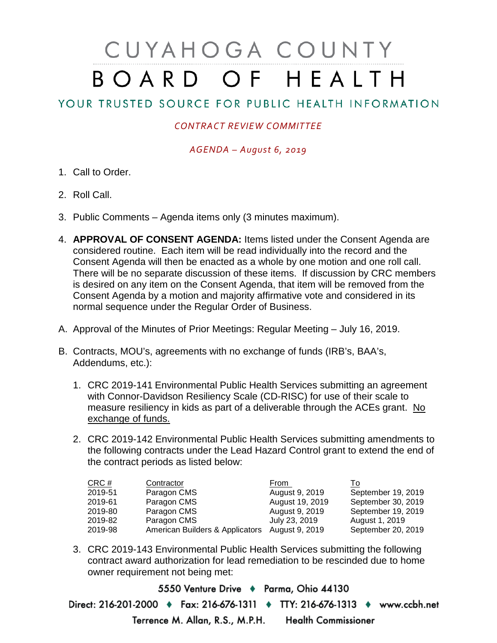# CUYAHOGA COUNTY BOARD OF HEALTH

## YOUR TRUSTED SOURCE FOR PUBLIC HEALTH INFORMATION

### *CONTRACT REVIEW COMMITTEE*

#### *AGENDA – August 6, 2019*

- 1. Call to Order.
- 2. Roll Call.
- 3. Public Comments Agenda items only (3 minutes maximum).
- 4. **APPROVAL OF CONSENT AGENDA:** Items listed under the Consent Agenda are considered routine. Each item will be read individually into the record and the Consent Agenda will then be enacted as a whole by one motion and one roll call. There will be no separate discussion of these items. If discussion by CRC members is desired on any item on the Consent Agenda, that item will be removed from the Consent Agenda by a motion and majority affirmative vote and considered in its normal sequence under the Regular Order of Business.
- A. Approval of the Minutes of Prior Meetings: Regular Meeting July 16, 2019.
- B. Contracts, MOU's, agreements with no exchange of funds (IRB's, BAA's, Addendums, etc.):
	- 1. CRC 2019-141 Environmental Public Health Services submitting an agreement with Connor-Davidson Resiliency Scale (CD-RISC) for use of their scale to measure resiliency in kids as part of a deliverable through the ACEs grant. No exchange of funds.
	- 2. CRC 2019-142 Environmental Public Health Services submitting amendments to the following contracts under the Lead Hazard Control grant to extend the end of the contract periods as listed below:

| CRC #   | Contractor                      | From            | 10                 |
|---------|---------------------------------|-----------------|--------------------|
| 2019-51 | Paragon CMS                     | August 9, 2019  | September 19, 2019 |
| 2019-61 | Paragon CMS                     | August 19, 2019 | September 30, 2019 |
| 2019-80 | Paragon CMS                     | August 9, 2019  | September 19, 2019 |
| 2019-82 | Paragon CMS                     | July 23, 2019   | August 1, 2019     |
| 2019-98 | American Builders & Applicators | August 9, 2019  | September 20, 2019 |

3. CRC 2019-143 Environmental Public Health Services submitting the following contract award authorization for lead remediation to be rescinded due to home owner requirement not being met:

5550 Venture Drive + Parma, Ohio 44130 Direct: 216-201-2000 • Fax: 216-676-1311 • TTY: 216-676-1313 • www.ccbh.net Terrence M. Allan, R.S., M.P.H. Health Commissioner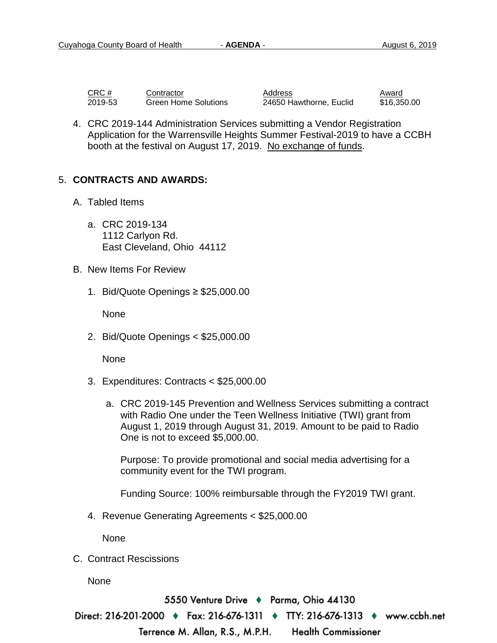| CRC #   | Contractor           | Address                 | Award   |
|---------|----------------------|-------------------------|---------|
| 2019-53 | Green Home Solutions | 24650 Hawthorne, Euclid | \$16,35 |

24650 Hawthorne, Euclid \$16,350.00

4. CRC 2019-144 Administration Services submitting a Vendor Registration Application for the Warrensville Heights Summer Festival-2019 to have a CCBH booth at the festival on August 17, 2019. No exchange of funds.

#### 5. **CONTRACTS AND AWARDS:**

- A. Tabled Items
	- a. CRC 2019-134 1112 Carlyon Rd. East Cleveland, Ohio 44112
- B. New Items For Review
	- 1. Bid/Quote Openings ≥ \$25,000.00

None

2. Bid/Quote Openings < \$25,000.00

None

- 3. Expenditures: Contracts < \$25,000.00
	- a. CRC 2019-145 Prevention and Wellness Services submitting a contract with Radio One under the Teen Wellness Initiative (TWI) grant from August 1, 2019 through August 31, 2019. Amount to be paid to Radio One is not to exceed \$5,000.00.

Purpose: To provide promotional and social media advertising for a community event for the TWI program.

Funding Source: 100% reimbursable through the FY2019 TWI grant.

4. Revenue Generating Agreements < \$25,000.00

None

C. Contract Rescissions

None

5550 Venture Drive ♦ Parma, Ohio 44130 Direct: 216-201-2000 ♦ Fax: 216-676-1311 ♦ TTY: 216-676-1313 ♦ www.ccbh.net

Terrence M. Allan, R.S., M.P.H. **Health Commissioner**